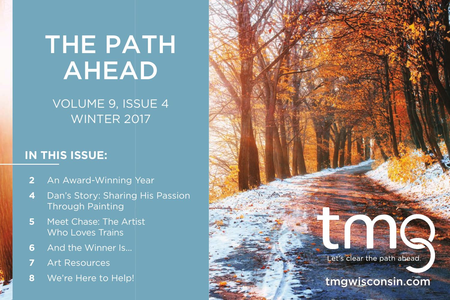# THE PATH AHEAD

## VOLUME 9, ISSUE 4 WINTER 2017

#### **IN THIS ISSUE:**

- **2** An Award-Winning Year
- **4** Dan's Story: Sharing His Passion Through Painting
- **5** Meet Chase: The Artist Who Loves Trains
- **6** And the Winner Is...
- **7** Art Resources
- **8** We're Here to Help!

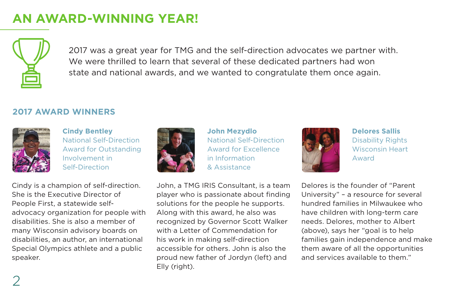## **AN AWARD-WINNING YEAR!**



2017 was a great year for TMG and the self-direction advocates we partner with. We were thrilled to learn that several of these dedicated partners had won state and national awards, and we wanted to congratulate them once again.

#### **2017 AWARD WINNERS**



**Cindy Bentley** National Self-Direction Award for Outstanding Involvement in Self-Direction

Cindy is a champion of self-direction. She is the Executive Director of People First, a statewide selfadvocacy organization for people with disabilities. She is also a member of many Wisconsin advisory boards on disabilities, an author, an international Special Olympics athlete and a public speaker.



**John Mezydlo** National Self-Direction Award for Excellence in Information & Assistance

John, a TMG IRIS Consultant, is a team player who is passionate about finding solutions for the people he supports. Along with this award, he also was recognized by Governor Scott Walker with a Letter of Commendation for his work in making self-direction accessible for others. John is also the proud new father of Jordyn (left) and Elly (right).



**Delores Sallis** Disability Rights Wisconsin Heart Award

Delores is the founder of "Parent University" – a resource for several hundred families in Milwaukee who have children with long-term care needs. Delores, mother to Albert (above), says her "goal is to help families gain independence and make them aware of all the opportunities and services available to them."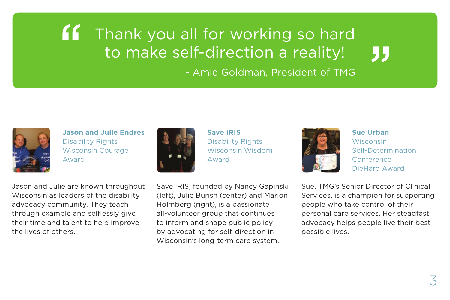#### **If** Thank you all for working so hard to make self-direction a reality! "

- Amie Goldman, President of TMG



**Jason and Julie Endres** Disability Rights Wisconsin Courage Award

Jason and Julie are known throughout Wisconsin as leaders of the disability advocacy community. They teach through example and selflessly give their time and talent to help improve the lives of others.



**Save IRIS** Disability Rights Wisconsin Wisdom Award

Save IRIS, founded by Nancy Gapinski (left), Julie Burish (center) and Marion Holmberg (right), is a passionate all-volunteer group that continues to inform and shape public policy by advocating for self-direction in Wisconsin's long-term care system.



**Sue Urban Wisconsin** Self-Determination Conference DieHard Award

Sue, TMG's Senior Director of Clinical Services, is a champion for supporting people who take control of their personal care services. Her steadfast advocacy helps people live their best possible lives.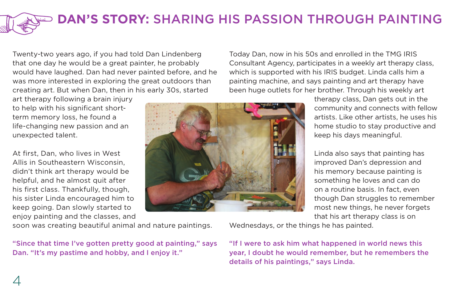## **DAN'S STORY:** SHARING HIS PASSION THROUGH PAINTING

Twenty-two years ago, if you had told Dan Lindenberg that one day he would be a great painter, he probably would have laughed. Dan had never painted before, and he was more interested in exploring the great outdoors than creating art. But when Dan, then in his early 30s, started

art therapy following a brain injury to help with his significant shortterm memory loss, he found a life-changing new passion and an unexpected talent.

At first, Dan, who lives in West Allis in Southeastern Wisconsin, didn't think art therapy would be helpful, and he almost quit after his first class. Thankfully, though, his sister Linda encouraged him to keep going. Dan slowly started to enjoy painting and the classes, and

soon was creating beautiful animal and nature paintings.

"Since that time I've gotten pretty good at painting," says Dan. "It's my pastime and hobby, and I enjoy it."

Today Dan, now in his 50s and enrolled in the TMG IRIS Consultant Agency, participates in a weekly art therapy class, which is supported with his IRIS budget. Linda calls him a painting machine, and says painting and art therapy have been huge outlets for her brother. Through his weekly art



therapy class, Dan gets out in the community and connects with fellow artists. Like other artists, he uses his home studio to stay productive and keep his days meaningful.

Linda also says that painting has improved Dan's depression and his memory because painting is something he loves and can do on a routine basis. In fact, even though Dan struggles to remember most new things, he never forgets that his art therapy class is on

Wednesdays, or the things he has painted.

"If I were to ask him what happened in world news this year, I doubt he would remember, but he remembers the details of his paintings," says Linda.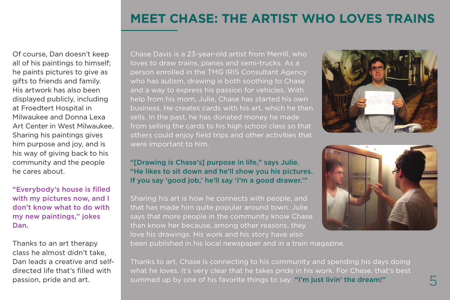#### **MEET CHASE: THE ARTIST WHO LOVES TRAINS**

Of course, Dan doesn't keep all of his paintings to himself; he paints pictures to give as gifts to friends and family. His artwork has also been displayed publicly, including at Froedtert Hospital in Milwaukee and Donna Lexa Art Center in West Milwaukee. Sharing his paintings gives him purpose and joy, and is his way of giving back to his community and the people he cares about.

"Everybody's house is filled with my pictures now, and I don't know what to do with my new paintings," jokes Dan.

Thanks to an art therapy class he almost didn't take, Dan leads a creative and selfdirected life that's filled with

Chase Davis is a 23-year-old artist from Merrill, who loves to draw trains, planes and semi-trucks. As a person enrolled in the TMG IRIS Consultant Agency who has autism, drawing is both soothing to Chase and a way to express his passion for vehicles. With help from his mom, Julie, Chase has started his own business. He creates cards with his art, which he then sells. In the past, he has donated money he made from selling the cards to his high school class so that others could enjoy field trips and other activities that were important to him.



#### "[Drawing is Chase's] purpose in life," says Julie. "He likes to sit down and he'll show you his pictures. If you say 'good job,' he'll say 'I'm a good drawer.'"

Sharing his art is how he connects with people, and that has made him quite popular around town. Julie says that more people in the community know Chase than know her because, among other reasons, they love his drawings. His work and his story have also been published in his local newspaper and in a train magazine.



passion, pride and art. The summed up by one of his favorite things to say: "I'm just livin' the dream!" Thanks to art, Chase is connecting to his community and spending his days doing what he loves. It's very clear that he takes pride in his work. For Chase, that's best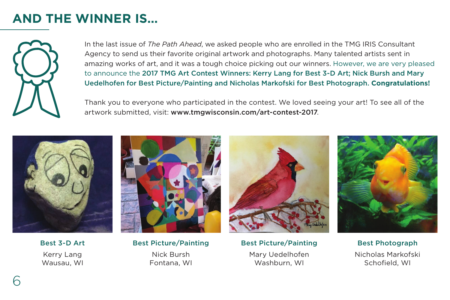## **AND THE WINNER IS...**



In the last issue of *The Path Ahead*, we asked people who are enrolled in the TMG IRIS Consultant Agency to send us their favorite original artwork and photographs. Many talented artists sent in amazing works of art, and it was a tough choice picking out our winners. However, we are very pleased to announce the 2017 TMG Art Contest Winners: Kerry Lang for Best 3-D Art; Nick Bursh and Mary Uedelhofen for Best Picture/Painting and Nicholas Markofski for Best Photograph. **Congratulations!**

Thank you to everyone who participated in the contest. We loved seeing your art! To see all of the artwork submitted, visit: www.tmgwisconsin.com/art-contest-2017.



Best 3-D Art Kerry Lang Wausau, WI



Best Picture/Painting Nick Bursh Fontana, WI



Best Picture/Painting Mary Uedelhofen Washburn, WI



Best Photograph Nicholas Markofski Schofield, WI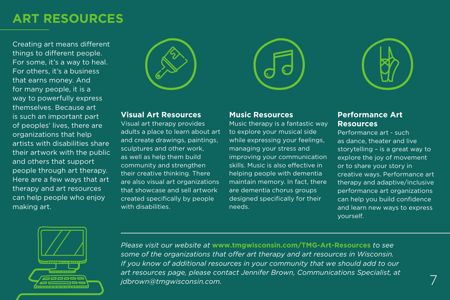#### **ART RESOURCES**

Creating art means different things to different people. For some, it's a way to heal. For others, it's a business that earns money. And for many people, it is a way to powerfully express themselves. Because art is such an important part of peoples' lives, there are organizations that help artists with disabilities share their artwork with the public and others that support people through art therapy. Here are a few ways that art therapy and art resources can help people who enjoy making art.



#### **Visual Art Resources**

Visual art therapy provides adults a place to learn about art and create drawings, paintings, sculptures and other work, as well as help them build community and strengthen their creative thinking. There are also visual art organizations that showcase and sell artwork created specifically by people with disabilities.



Music therapy is a fantastic way to explore your musical side while expressing your feelings, managing your stress and improving your communication skills. Music is also effective in helping people with dementia maintain memory. In fact, there are dementia chorus groups designed specifically for their

**Music Resources**



#### **Performance Art Resources**

Performance art - such as dance, theater and live storytelling – is a great way to explore the joy of movement or to share your story in creative ways. Performance art therapy and adaptive/inclusive performance art organizations can help you build confidence and learn new ways to express yourself.



*Please visit our website at* **www.tmgwisconsin.com/TMG-Art-Resources** *to see some of the organizations that offer art therapy and art resources in Wisconsin. If you know of additional resources in your community that we should add to our art resources page, please contact Jennifer Brown, Communications Specialist, at jdbrown@tmgwisconsin.com.* 

needs.